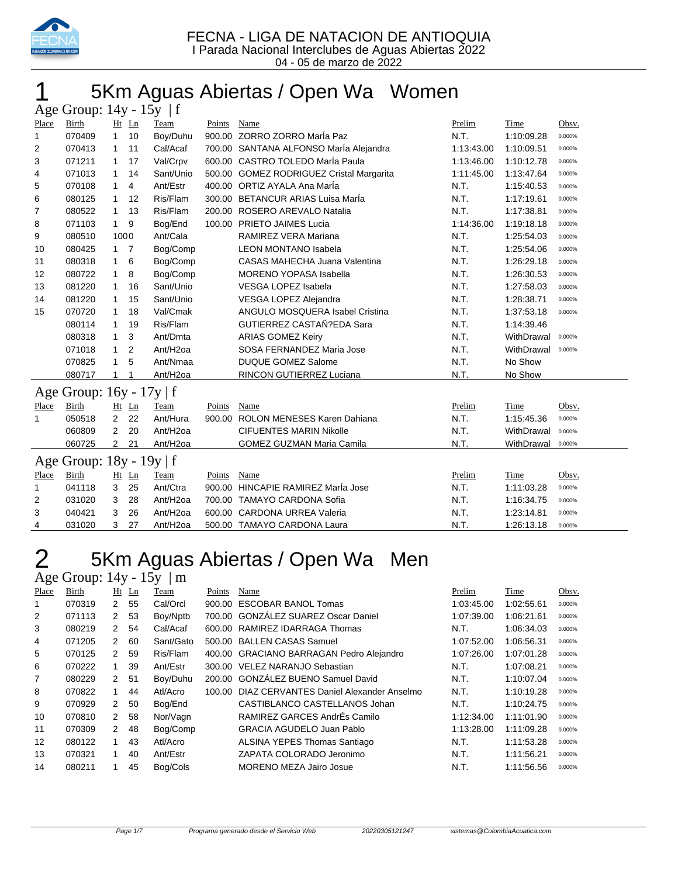

# 5Km Aguas Abiertas / Open Wa Women

|       | Age Group: 14y - 15y<br> f    |                |                |                      |        |                                          |            |            |        |  |  |  |  |
|-------|-------------------------------|----------------|----------------|----------------------|--------|------------------------------------------|------------|------------|--------|--|--|--|--|
| Place | Birth                         |                | Ht Ln          | Team                 | Points | Name                                     | Prelim     | Time       | Obsv.  |  |  |  |  |
| 1     | 070409                        | $\mathbf{1}$   | 10             | Boy/Duhu             |        | 900.00 ZORRO ZORRO María Paz             | N.T.       | 1:10:09.28 | 0.000% |  |  |  |  |
| 2     | 070413                        | 1              | 11             | Cal/Acaf             |        | 700.00 SANTANA ALFONSO MarÍa Alejandra   | 1:13:43.00 | 1:10:09.51 | 0.000% |  |  |  |  |
| 3     | 071211                        | 1              | 17             | Val/Crpv             |        | 600.00 CASTRO TOLEDO María Paula         | 1:13:46.00 | 1:10:12.78 | 0.000% |  |  |  |  |
| 4     | 071013                        | 1              | 14             | Sant/Unio            |        | 500.00 GOMEZ RODRIGUEZ Cristal Margarita | 1:11:45.00 | 1:13:47.64 | 0.000% |  |  |  |  |
| 5     | 070108                        | 1              | 4              | Ant/Estr             |        | 400.00 ORTIZ AYALA Ana Marla             | N.T.       | 1:15:40.53 | 0.000% |  |  |  |  |
| 6     | 080125                        | 1              | 12             | Ris/Flam             |        | 300.00 BETANCUR ARIAS Luisa MarÍa        | N.T.       | 1:17:19.61 | 0.000% |  |  |  |  |
| 7     | 080522                        | 1              | 13             | Ris/Flam             |        | 200.00 ROSERO AREVALO Natalia            | N.T.       | 1:17:38.81 | 0.000% |  |  |  |  |
| 8     | 071103                        | $\mathbf{1}$   | 9              | Bog/End              |        | 100.00 PRIETO JAIMES Lucia               | 1:14:36.00 | 1:19:18.18 | 0.000% |  |  |  |  |
| 9     | 080510                        | 1000           |                | Ant/Cala             |        | RAMIREZ VERA Mariana                     | N.T.       | 1:25:54.03 | 0.000% |  |  |  |  |
| 10    | 080425                        | $1 \quad 7$    |                | Bog/Comp             |        | <b>LEON MONTANO Isabela</b>              | N.T.       | 1:25:54.06 | 0.000% |  |  |  |  |
| 11    | 080318                        | 1              | 6              | Bog/Comp             |        | CASAS MAHECHA Juana Valentina            | N.T.       | 1:26:29.18 | 0.000% |  |  |  |  |
| 12    | 080722                        | 1              | 8              | Bog/Comp             |        | <b>MORENO YOPASA Isabella</b>            | N.T.       | 1:26:30.53 | 0.000% |  |  |  |  |
| 13    | 081220                        | 1              | 16             | Sant/Unio            |        | <b>VESGA LOPEZ Isabela</b>               | N.T.       | 1:27:58.03 | 0.000% |  |  |  |  |
| 14    | 081220                        | 1              | 15             | Sant/Unio            |        | VESGA LOPEZ Alejandra                    | N.T.       | 1:28:38.71 | 0.000% |  |  |  |  |
| 15    | 070720                        | 1              | 18             | Val/Cmak             |        | ANGULO MOSQUERA Isabel Cristina          | N.T.       | 1:37:53.18 | 0.000% |  |  |  |  |
|       | 080114                        | 1              | 19             | Ris/Flam             |        | GUTIERREZ CASTAÑ?EDA Sara                | N.T.       | 1:14:39.46 |        |  |  |  |  |
|       | 080318                        | 1              | 3              | Ant/Dmta             |        | <b>ARIAS GOMEZ Keiry</b>                 | N.T.       | WithDrawal | 0.000% |  |  |  |  |
|       | 071018                        | 1              | $\overline{2}$ | Ant/H <sub>20a</sub> |        | SOSA FERNANDEZ Maria Jose                | N.T.       | WithDrawal | 0.000% |  |  |  |  |
|       | 070825                        | 1              | 5              | Ant/Nmaa             |        | <b>DUQUE GOMEZ Salome</b>                | N.T.       | No Show    |        |  |  |  |  |
|       | 080717                        | 1              | 1              | Ant/H <sub>2oa</sub> |        | RINCON GUTIERREZ Luciana                 | N.T.       | No Show    |        |  |  |  |  |
|       | Age Group: 16y - 17y   f      |                |                |                      |        |                                          |            |            |        |  |  |  |  |
| Place | Birth                         |                | $Ht$ Ln        | Team                 | Points | Name                                     | Prelim     | Time       | Obsv.  |  |  |  |  |
| 1     | 050518                        | $\overline{2}$ | 22             | Ant/Hura             |        | 900.00 ROLON MENESES Karen Dahiana       | N.T.       | 1:15:45.36 | 0.000% |  |  |  |  |
|       | 060809                        | 2              | 20             | Ant/H <sub>20a</sub> |        | <b>CIFUENTES MARIN Nikolle</b>           | N.T.       | WithDrawal | 0.000% |  |  |  |  |
|       | 060725                        | $\overline{2}$ | 21             | Ant/H <sub>2oa</sub> |        | <b>GOMEZ GUZMAN Maria Camila</b>         | N.T.       | WithDrawal | 0.000% |  |  |  |  |
|       | Age Group: $18y - 19y \mid f$ |                |                |                      |        |                                          |            |            |        |  |  |  |  |
| Place | Birth                         |                | $Ht$ Ln        | Team                 | Points | Name                                     | Prelim     | Time       | Obsv.  |  |  |  |  |
| 1     | 041118                        | 3              | 25             | Ant/Ctra             |        | 900.00 HINCAPIE RAMIREZ María Jose       | N.T.       | 1:11:03.28 | 0.000% |  |  |  |  |
| 2     | 031020                        | 3              | 28             | Ant/H <sub>20a</sub> |        | 700.00 TAMAYO CARDONA Sofia              | N.T.       | 1:16:34.75 | 0.000% |  |  |  |  |
| 3     | 040421                        | 3              | 26             | Ant/H <sub>2oa</sub> |        | 600.00 CARDONA URREA Valeria             | N.T.       | 1:23:14.81 | 0.000% |  |  |  |  |
| 4     | 031020                        | 3              | 27             | Ant/H <sub>2oa</sub> |        | 500.00 TAMAYO CARDONA Laura              | N.T.       | 1:26:13.18 | 0.000% |  |  |  |  |

# 2 5Km Aguas Abiertas / Open Wa Men

Age Group: 14y - 15y | m

| Place | Birth  |               | $Ht$ Ln | Team      | Points | Name                                     | Prelim     | Time       | Obsv.  |
|-------|--------|---------------|---------|-----------|--------|------------------------------------------|------------|------------|--------|
| 1     | 070319 | 2             | 55      | Cal/Orcl  | 900.00 | <b>ESCOBAR BANOL Tomas</b>               | 1:03:45.00 | 1:02:55.61 | 0.000% |
| 2     | 071113 | 2             | 53      | Boy/Nptb  |        | 700.00 GONZÁLEZ SUAREZ Oscar Daniel      | 1:07:39.00 | 1:06:21.61 | 0.000% |
| 3     | 080219 | $\mathcal{P}$ | 54      | Cal/Acaf  |        | 600.00 RAMIREZ IDARRAGA Thomas           | N.T.       | 1:06:34.03 | 0.000% |
| 4     | 071205 | $\mathcal{P}$ | 60      | Sant/Gato |        | 500.00 BALLEN CASAS Samuel               | 1:07:52.00 | 1:06:56.31 | 0.000% |
| 5     | 070125 | $\mathcal{P}$ | 59      | Ris/Flam  |        | 400.00 GRACIANO BARRAGAN Pedro Alejandro | 1:07:26.00 | 1:07:01.28 | 0.000% |
| 6     | 070222 |               | 39      | Ant/Estr  |        | 300.00 VELEZ NARANJO Sebastian           | N.T.       | 1:07:08.21 | 0.000% |
| 7     | 080229 | $\mathcal{P}$ | 51      | Boy/Duhu  |        | 200.00 GONZÁLEZ BUENO Samuel David       | N.T.       | 1:10:07.04 | 0.000% |
| 8     | 070822 |               | 44      | Atl/Acro  | 100.00 | DIAZ CERVANTES Daniel Alexander Anselmo  | N.T.       | 1:10:19.28 | 0.000% |
| 9     | 070929 | $\mathcal{P}$ | 50      | Bog/End   |        | CASTIBLANCO CASTELLANOS Johan            | N.T.       | 1:10:24.75 | 0.000% |
| 10    | 070810 | $\mathcal{P}$ | 58      | Nor/Vagn  |        | RAMIREZ GARCES AndrÉs Camilo             | 1:12:34.00 | 1:11:01.90 | 0.000% |
| 11    | 070309 | $\mathcal{P}$ | 48      | Bog/Comp  |        | <b>GRACIA AGUDELO Juan Pablo</b>         | 1:13:28.00 | 1:11:09.28 | 0.000% |
| 12    | 080122 | 1.            | 43      | Atl/Acro  |        | ALSINA YEPES Thomas Santiago             | N.T.       | 1:11:53.28 | 0.000% |
| 13    | 070321 | 1.            | 40      | Ant/Estr  |        | ZAPATA COLORADO Jeronimo                 | N.T.       | 1:11:56.21 | 0.000% |
| 14    | 080211 |               | 45      | Bog/Cols  |        | <b>MORENO MEZA Jairo Josue</b>           | N.T.       | 1:11:56.56 | 0.000% |
|       |        |               |         |           |        |                                          |            |            |        |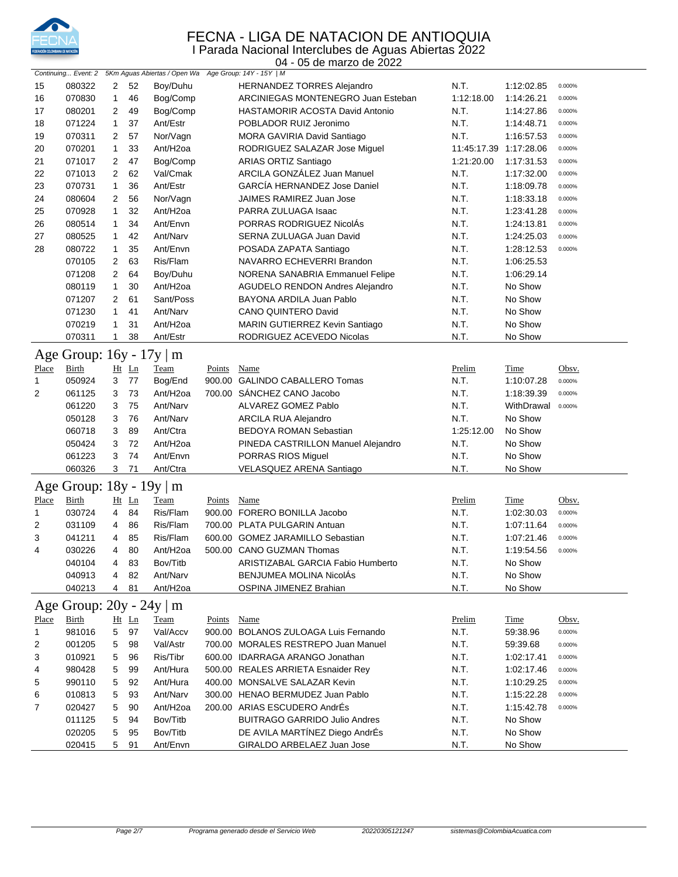

#### FECNA - LIGA DE NATACION DE ANTIOQUIA I Parada Nacional Interclubes de Aguas Abiertas 2022

|              | 04 - 05 de marzo de 2022      |                |         |                                                       |        |                                        |             |             |        |  |  |  |
|--------------|-------------------------------|----------------|---------|-------------------------------------------------------|--------|----------------------------------------|-------------|-------------|--------|--|--|--|
|              | Continuing Event: 2           |                |         | 5Km Aguas Abiertas / Open Wa Age Group: 14Y - 15Y   M |        |                                        |             |             |        |  |  |  |
| 15           | 080322                        | $\overline{2}$ | 52      | Boy/Duhu                                              |        | <b>HERNANDEZ TORRES Alejandro</b>      | N.T.        | 1:12:02.85  | 0.000% |  |  |  |
| 16           | 070830                        | 1              | 46      | Bog/Comp                                              |        | ARCINIEGAS MONTENEGRO Juan Esteban     | 1:12:18.00  | 1:14:26.21  | 0.000% |  |  |  |
| 17           | 080201                        | 2              | 49      | Bog/Comp                                              |        | <b>HASTAMORIR ACOSTA David Antonio</b> | N.T.        | 1:14:27.86  | 0.000% |  |  |  |
| 18           | 071224                        | 1              | 37      | Ant/Estr                                              |        | POBLADOR RUIZ Jeronimo                 | N.T.        | 1:14:48.71  | 0.000% |  |  |  |
| 19           | 070311                        | 2              | 57      | Nor/Vagn                                              |        | MORA GAVIRIA David Santiago            | N.T.        | 1:16:57.53  | 0.000% |  |  |  |
| 20           | 070201                        | $\mathbf{1}$   | 33      | Ant/H <sub>2oa</sub>                                  |        | RODRIGUEZ SALAZAR Jose Miguel          | 11:45:17.39 | 1:17:28.06  | 0.000% |  |  |  |
| 21           | 071017                        | 2              | 47      | Bog/Comp                                              |        | ARIAS ORTIZ Santiago                   | 1:21:20.00  | 1:17:31.53  | 0.000% |  |  |  |
| 22           | 071013                        | 2              | 62      | Val/Cmak                                              |        | ARCILA GONZÁLEZ Juan Manuel            | N.T.        | 1:17:32.00  | 0.000% |  |  |  |
| 23           | 070731                        | $\mathbf{1}$   | 36      | Ant/Estr                                              |        | <b>GARCÍA HERNANDEZ Jose Daniel</b>    | N.T.        | 1:18:09.78  | 0.000% |  |  |  |
| 24           | 080604                        | 2              | 56      | Nor/Vagn                                              |        | JAIMES RAMIREZ Juan Jose               | N.T.        | 1:18:33.18  | 0.000% |  |  |  |
| 25           | 070928                        | 1              | 32      | Ant/H <sub>2oa</sub>                                  |        | PARRA ZULUAGA Isaac                    | N.T.        | 1:23:41.28  | 0.000% |  |  |  |
| 26           | 080514                        | 1              | 34      | Ant/Envn                                              |        | PORRAS RODRIGUEZ NicolÁs               | N.T.        | 1:24:13.81  | 0.000% |  |  |  |
| 27           | 080525                        | 1              | 42      | Ant/Narv                                              |        | SERNA ZULUAGA Juan David               | N.T.        | 1:24:25.03  | 0.000% |  |  |  |
| 28           | 080722                        | $\mathbf 1$    | 35      | Ant/Envn                                              |        | POSADA ZAPATA Santiago                 | N.T.        | 1:28:12.53  | 0.000% |  |  |  |
|              | 070105                        | 2              | 63      | Ris/Flam                                              |        | NAVARRO ECHEVERRI Brandon              | N.T.        | 1:06:25.53  |        |  |  |  |
|              | 071208                        | $\overline{2}$ | 64      | Boy/Duhu                                              |        | NORENA SANABRIA Emmanuel Felipe        | N.T.        | 1:06:29.14  |        |  |  |  |
|              | 080119                        | 1              | 30      | Ant/H <sub>2oa</sub>                                  |        | <b>AGUDELO RENDON Andres Alejandro</b> | N.T.        | No Show     |        |  |  |  |
|              | 071207                        | 2              | 61      | Sant/Poss                                             |        | BAYONA ARDILA Juan Pablo               | N.T.        | No Show     |        |  |  |  |
|              |                               | 1              | 41      | Ant/Narv                                              |        |                                        | N.T.        | No Show     |        |  |  |  |
|              | 071230                        |                |         |                                                       |        | CANO QUINTERO David                    |             |             |        |  |  |  |
|              | 070219                        | 1              | 31      | Ant/H <sub>2oa</sub>                                  |        | MARIN GUTIERREZ Kevin Santiago         | N.T.        | No Show     |        |  |  |  |
|              | 070311                        | 1              | 38      | Ant/Estr                                              |        | RODRIGUEZ ACEVEDO Nicolas              | N.T.        | No Show     |        |  |  |  |
|              | Age Group: $16y - 17y \mid m$ |                |         |                                                       |        |                                        |             |             |        |  |  |  |
| <b>Place</b> | <b>Birth</b>                  |                | Ht Ln   | Team                                                  | Points | Name                                   | Prelim      | <u>Time</u> | Obsv.  |  |  |  |
| 1            | 050924                        | 3              | 77      | Bog/End                                               |        | 900.00 GALINDO CABALLERO Tomas         | N.T.        | 1:10:07.28  | 0.000% |  |  |  |
| 2            | 061125                        | 3              | 73      | Ant/H <sub>2oa</sub>                                  |        | 700.00 SÁNCHEZ CANO Jacobo             | N.T.        | 1:18:39.39  | 0.000% |  |  |  |
|              | 061220                        | 3              | 75      | Ant/Narv                                              |        | ALVAREZ GOMEZ Pablo                    | N.T.        | WithDrawal  | 0.000% |  |  |  |
|              | 050128                        | 3              | 76      | Ant/Narv                                              |        | <b>ARCILA RUA Alejandro</b>            | N.T.        | No Show     |        |  |  |  |
|              | 060718                        | 3              | 89      | Ant/Ctra                                              |        | <b>BEDOYA ROMAN Sebastian</b>          | 1:25:12.00  | No Show     |        |  |  |  |
|              | 050424                        | 3              | 72      | Ant/H <sub>2oa</sub>                                  |        | PINEDA CASTRILLON Manuel Alejandro     | N.T.        | No Show     |        |  |  |  |
|              | 061223                        | 3              | 74      | Ant/Envn                                              |        | PORRAS RIOS Miguel                     | N.T.        | No Show     |        |  |  |  |
|              | 060326                        | 3              | 71      | Ant/Ctra                                              |        | VELASQUEZ ARENA Santiago               | N.T.        | No Show     |        |  |  |  |
|              |                               |                |         |                                                       |        |                                        |             |             |        |  |  |  |
|              | Age Group: $18y - 19y \mid m$ |                |         |                                                       |        |                                        |             |             |        |  |  |  |
| Place        | Birth                         |                | $Ht$ Ln | Team                                                  | Points | Name                                   | Prelim      | Time        | Obsv.  |  |  |  |
| 1            | 030724                        | 4              | 84      | Ris/Flam                                              |        | 900.00 FORERO BONILLA Jacobo           | N.T.        | 1:02:30.03  | 0.000% |  |  |  |
| 2            | 031109                        | 4              | 86      | Ris/Flam                                              |        | 700.00 PLATA PULGARIN Antuan           | N.T.        | 1:07:11.64  | 0.000% |  |  |  |
| 3            | 041211                        | 4              | 85      | Ris/Flam                                              |        | 600.00 GOMEZ JARAMILLO Sebastian       | N.T.        | 1:07:21.46  | 0.000% |  |  |  |
| 4            | 030226                        | 4              | 80      | Ant/H <sub>2oa</sub>                                  |        | 500.00 CANO GUZMAN Thomas              | N.T.        | 1:19:54.56  | 0.000% |  |  |  |
|              | 040104                        | 4              | 83      | Bov/Titb                                              |        | ARISTIZABAL GARCIA Fabio Humberto      | N.T.        | No Show     |        |  |  |  |
|              | 040913                        | 4              | 82      | Ant/Narv                                              |        | BENJUMEA MOLINA NicolAs                | N.T.        | No Show     |        |  |  |  |
|              | 040213                        | 4              | 81      | Ant/H2oa                                              |        | OSPINA JIMENEZ Brahian                 | N.T.        | No Show     |        |  |  |  |
|              |                               |                |         |                                                       |        |                                        |             |             |        |  |  |  |
|              | Age Group: 20y - 24y   m      |                |         |                                                       |        |                                        |             |             |        |  |  |  |
| Place        | <b>Birth</b>                  |                | $Ht$ Ln | <b>Team</b>                                           | Points | <b>Name</b>                            | Prelim      | <b>Time</b> | Obsv.  |  |  |  |
| 1            | 981016                        | 5              | 97      | Val/Accv                                              |        | 900.00 BOLANOS ZULOAGA Luis Fernando   | N.T.        | 59:38.96    | 0.000% |  |  |  |
| 2            | 001205                        | 5              | 98      | Val/Astr                                              |        | 700.00 MORALES RESTREPO Juan Manuel    | N.T.        | 59:39.68    | 0.000% |  |  |  |
| 3            | 010921                        | 5              | 96      | Ris/Tibr                                              |        | 600.00 IDARRAGA ARANGO Jonathan        | N.T.        | 1:02:17.41  | 0.000% |  |  |  |
| 4            | 980428                        | 5              | 99      | Ant/Hura                                              |        | 500.00 REALES ARRIETA Esnaider Rey     | N.T.        | 1:02:17.46  | 0.000% |  |  |  |
| 5            | 990110                        | 5              | 92      | Ant/Hura                                              |        | 400.00 MONSALVE SALAZAR Kevin          | N.T.        | 1:10:29.25  | 0.000% |  |  |  |
| 6            | 010813                        | 5              | 93      | Ant/Narv                                              |        | 300.00 HENAO BERMUDEZ Juan Pablo       | N.T.        | 1:15:22.28  | 0.000% |  |  |  |
| 7            | 020427                        | 5              | 90      | Ant/H <sub>2</sub> oa                                 |        | 200.00 ARIAS ESCUDERO AndrÉs           | N.T.        | 1:15:42.78  | 0.000% |  |  |  |
|              | 011125                        | 5              | 94      | Bov/Titb                                              |        | <b>BUITRAGO GARRIDO Julio Andres</b>   | N.T.        | No Show     |        |  |  |  |
|              | 020205                        | 5              | 95      | Bov/Titb                                              |        | DE AVILA MARTÍNEZ Diego AndrÉs         | N.T.        | No Show     |        |  |  |  |
|              | 020415                        | 5              | 91      | Ant/Envn                                              |        | GIRALDO ARBELAEZ Juan Jose             | N.T.        | No Show     |        |  |  |  |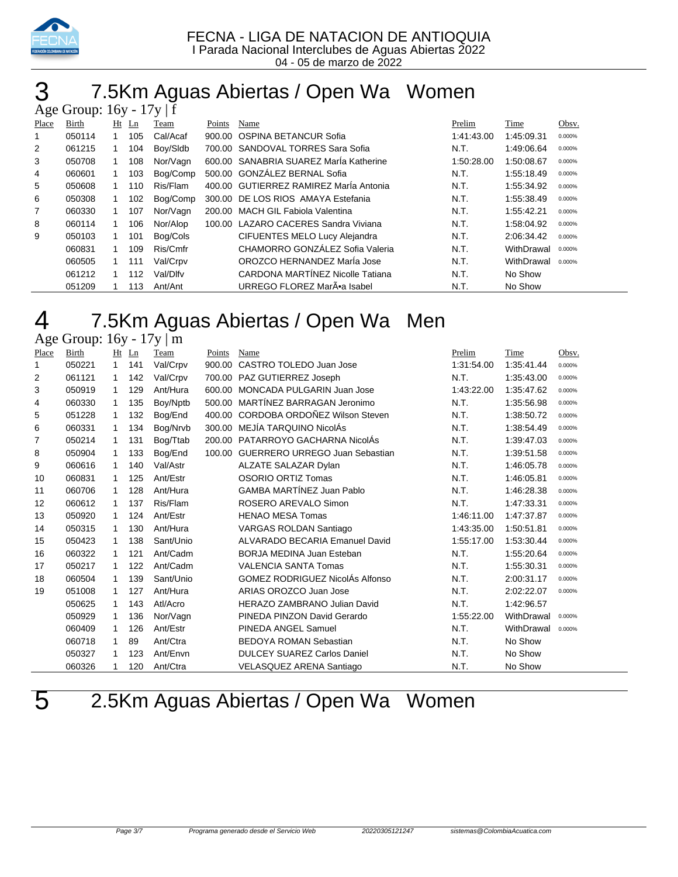

# 7.5Km Aguas Abiertas / Open Wa Women

|       | Age Group: $16y - 17y$ f |    |     |          |        |                                         |            |            |        |  |  |  |
|-------|--------------------------|----|-----|----------|--------|-----------------------------------------|------------|------------|--------|--|--|--|
| Place | Birth                    | Ht | Ln  | Team     | Points | Name                                    | Prelim     | Time       | Obsv.  |  |  |  |
|       | 050114                   |    | 105 | Cal/Acaf | 900.00 | <b>OSPINA BETANCUR Sofia</b>            | 1:41:43.00 | 1:45:09.31 | 0.000% |  |  |  |
| 2     | 061215                   |    | 104 | Boy/Sidb | 700.00 | SANDOVAL TORRES Sara Sofia              | N.T.       | 1:49:06.64 | 0.000% |  |  |  |
| 3     | 050708                   |    | 108 | Nor/Vagn | 600.00 | SANABRIA SUAREZ Maria Katherine         | 1:50:28.00 | 1:50:08.67 | 0.000% |  |  |  |
| 4     | 060601                   |    | 103 | Bog/Comp | 500.00 | GONZÁLEZ BERNAL Sofia                   | N.T.       | 1:55:18.49 | 0.000% |  |  |  |
| 5     | 050608                   |    | 110 | Ris/Flam | 400.00 | <b>GUTIERREZ RAMIREZ Marla Antonia</b>  | N.T.       | 1:55:34.92 | 0.000% |  |  |  |
| 6     | 050308                   |    | 102 | Bog/Comp | 300.00 | DE LOS RIOS AMAYA Estefania             | N.T.       | 1:55:38.49 | 0.000% |  |  |  |
| 7     | 060330                   |    | 107 | Nor/Vagn | 200.00 | <b>MACH GIL Fabiola Valentina</b>       | N.T.       | 1:55:42.21 | 0.000% |  |  |  |
| 8     | 060114                   |    | 106 | Nor/Alop | 100.00 | LAZARO CACERES Sandra Viviana           | N.T.       | 1:58:04.92 | 0.000% |  |  |  |
| 9     | 050103                   |    | 101 | Bog/Cols |        | CIFUENTES MELO Lucy Alejandra           | N.T.       | 2:06:34.42 | 0.000% |  |  |  |
|       | 060831                   |    | 109 | Ris/Cmfr |        | CHAMORRO GONZÁLEZ Sofia Valeria         | N.T.       | WithDrawal | 0.000% |  |  |  |
|       | 060505                   |    | 111 | Val/Crpv |        | OROZCO HERNANDEZ MarÍa Jose             | N.T.       | WithDrawal | 0.000% |  |  |  |
|       | 061212                   |    | 112 | Val/Dlfv |        | <b>CARDONA MARTÍNEZ Nicolle Tatiana</b> | N.T.       | No Show    |        |  |  |  |
|       | 051209                   |    | 113 | Ant/Ant  |        | URREGO FLOREZ MarÕa Isabel              | N.T.       | No Show    |        |  |  |  |

# 7.5Km Aguas Abiertas / Open Wa Men

Age Group: 16y - 17y | m

| Place | Birth  | Ht           | Ln  | Team      | Points | Name                                   | Prelim     | Time       | Obsv.  |
|-------|--------|--------------|-----|-----------|--------|----------------------------------------|------------|------------|--------|
| 1     | 050221 | $\mathbf{1}$ | 141 | Val/Crpv  | 900.00 | CASTRO TOLEDO Juan Jose                | 1:31:54.00 | 1:35:41.44 | 0.000% |
| 2     | 061121 | 1            | 142 | Val/Crpv  | 700.00 | PAZ GUTIERREZ Joseph                   | N.T.       | 1:35:43.00 | 0.000% |
| 3     | 050919 | 1            | 129 | Ant/Hura  | 600.00 | MONCADA PULGARIN Juan Jose             | 1:43:22.00 | 1:35:47.62 | 0.000% |
| 4     | 060330 | 1            | 135 | Boy/Nptb  | 500.00 | MARTÍNEZ BARRAGAN Jeronimo             | N.T.       | 1:35:56.98 | 0.000% |
| 5     | 051228 | $\mathbf{1}$ | 132 | Bog/End   | 400.00 | CORDOBA ORDOÑEZ Wilson Steven          | N.T.       | 1:38:50.72 | 0.000% |
| 6     | 060331 | 1            | 134 | Bog/Nrvb  | 300.00 | MEJÍA TARQUINO NicolÁs                 | N.T.       | 1:38:54.49 | 0.000% |
| 7     | 050214 | 1            | 131 | Bog/Ttab  |        | 200.00 PATARROYO GACHARNA NicolAs      | N.T.       | 1:39:47.03 | 0.000% |
| 8     | 050904 | 1            | 133 | Bog/End   | 100.00 | <b>GUERRERO URREGO Juan Sebastian</b>  | N.T.       | 1:39:51.58 | 0.000% |
| 9     | 060616 | $\mathbf 1$  | 140 | Val/Astr  |        | ALZATE SALAZAR Dylan                   | N.T.       | 1:46:05.78 | 0.000% |
| 10    | 060831 | 1            | 125 | Ant/Estr  |        | OSORIO ORTIZ Tomas                     | N.T.       | 1:46:05.81 | 0.000% |
| 11    | 060706 | 1            | 128 | Ant/Hura  |        | <b>GAMBA MARTÍNEZ Juan Pablo</b>       | N.T.       | 1:46:28.38 | 0.000% |
| 12    | 060612 | 1            | 137 | Ris/Flam  |        | ROSERO AREVALO Simon                   | N.T.       | 1:47:33.31 | 0.000% |
| 13    | 050920 | 1            | 124 | Ant/Estr  |        | <b>HENAO MESA Tomas</b>                | 1:46:11.00 | 1:47:37.87 | 0.000% |
| 14    | 050315 | $\mathbf{1}$ | 130 | Ant/Hura  |        | VARGAS ROLDAN Santiago                 | 1:43:35.00 | 1:50:51.81 | 0.000% |
| 15    | 050423 | 1            | 138 | Sant/Unio |        | ALVARADO BECARIA Emanuel David         | 1:55:17.00 | 1:53:30.44 | 0.000% |
| 16    | 060322 | $\mathbf{1}$ | 121 | Ant/Cadm  |        | <b>BORJA MEDINA Juan Esteban</b>       | N.T.       | 1:55:20.64 | 0.000% |
| 17    | 050217 | 1            | 122 | Ant/Cadm  |        | <b>VALENCIA SANTA Tomas</b>            | N.T.       | 1:55:30.31 | 0.000% |
| 18    | 060504 | 1            | 139 | Sant/Unio |        | <b>GOMEZ RODRIGUEZ NicolAs Alfonso</b> | N.T.       | 2:00:31.17 | 0.000% |
| 19    | 051008 | 1            | 127 | Ant/Hura  |        | ARIAS OROZCO Juan Jose                 | N.T.       | 2:02:22.07 | 0.000% |
|       | 050625 | 1            | 143 | Atl/Acro  |        | HERAZO ZAMBRANO Julian David           | N.T.       | 1:42:96.57 |        |
|       | 050929 | 1            | 136 | Nor/Vagn  |        | PINEDA PINZON David Gerardo            | 1:55:22.00 | WithDrawal | 0.000% |
|       | 060409 | 1            | 126 | Ant/Estr  |        | PINEDA ANGEL Samuel                    | N.T.       | WithDrawal | 0.000% |
|       | 060718 | 1            | 89  | Ant/Ctra  |        | <b>BEDOYA ROMAN Sebastian</b>          | N.T.       | No Show    |        |
|       | 050327 | 1            | 123 | Ant/Envn  |        | <b>DULCEY SUAREZ Carlos Daniel</b>     | N.T.       | No Show    |        |
|       | 060326 |              | 120 | Ant/Ctra  |        | VELASQUEZ ARENA Santiago               | N.T.       | No Show    |        |

2.5Km Aguas Abiertas / Open Wa Women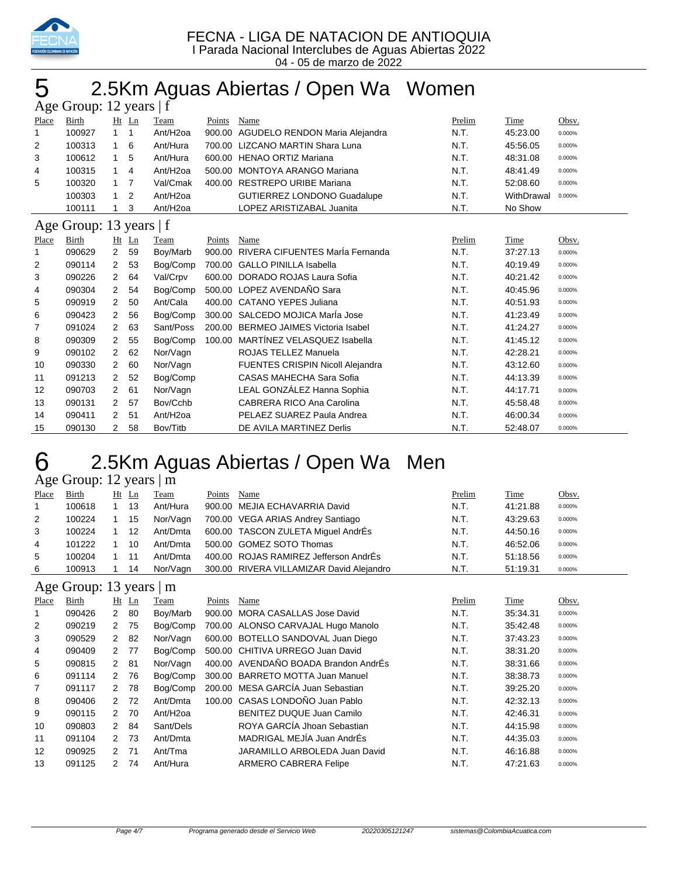

04 - 05 de marzo de 2022

# 2.5Km Aguas Abiertas / Open Wa Women

| Age Group: 12 years   f |                         |                |                |                      |        |                                         |        |            |        |  |  |  |
|-------------------------|-------------------------|----------------|----------------|----------------------|--------|-----------------------------------------|--------|------------|--------|--|--|--|
| Place                   | Birth                   |                | $Ht$ Ln        | Team                 | Points | Name                                    | Prelim | Time       | Obsv.  |  |  |  |
| 1                       | 100927                  | $\overline{1}$ | 1              | Ant/H <sub>2oa</sub> | 900.00 | AGUDELO RENDON Maria Alejandra          | N.T.   | 45:23.00   | 0.000% |  |  |  |
| 2                       | 100313                  | 1              | 6              | Ant/Hura             |        | 700.00 LIZCANO MARTIN Shara Luna        | N.T.   | 45:56.05   | 0.000% |  |  |  |
| 3                       | 100612                  | 1              | 5              | Ant/Hura             |        | 600.00 HENAO ORTIZ Mariana              | N.T.   | 48:31.08   | 0.000% |  |  |  |
| 4                       | 100315                  | 1              | 4              | Ant/H <sub>2oa</sub> | 500.00 | <b>MONTOYA ARANGO Mariana</b>           | N.T.   | 48:41.49   | 0.000% |  |  |  |
| 5                       | 100320                  | 1              | $\overline{7}$ | Val/Cmak             | 400.00 | <b>RESTREPO URIBE Mariana</b>           | N.T.   | 52:08.60   | 0.000% |  |  |  |
|                         | 100303                  | 1              | 2              | Ant/H <sub>2oa</sub> |        | <b>GUTIERREZ LONDONO Guadalupe</b>      | N.T.   | WithDrawal | 0.000% |  |  |  |
|                         | 100111                  | 1              | 3              | Ant/H <sub>2oa</sub> |        | LOPEZ ARISTIZABAL Juanita               | N.T.   | No Show    |        |  |  |  |
|                         | Age Group: 13 years   f |                |                |                      |        |                                         |        |            |        |  |  |  |
| Place                   | Birth                   |                | Ht Ln          | Team                 | Points | Name                                    | Prelim | Time       | Obsv.  |  |  |  |
| 1                       | 090629                  | $\overline{2}$ | 59             | Boy/Marb             | 900.00 | RIVERA CIFUENTES María Fernanda         | N.T.   | 37:27.13   | 0.000% |  |  |  |
| 2                       | 090114                  | 2              | 53             | Bog/Comp             |        | 700.00 GALLO PINILLA Isabella           | N.T.   | 40:19.49   | 0.000% |  |  |  |
| 3                       | 090226                  | 2              | 64             | Val/Crpv             | 600.00 | DORADO ROJAS Laura Sofia                | N.T.   | 40:21.42   | 0.000% |  |  |  |
| 4                       | 090304                  | $\overline{2}$ | 54             | Boa/Comp             |        | 500.00 LOPEZ AVENDAÑO Sara              | N.T.   | 40:45.96   | 0.000% |  |  |  |
| 5                       | 090919                  | 2              | 50             | Ant/Cala             |        | 400.00 CATANO YEPES Juliana             | N.T.   | 40:51.93   | 0.000% |  |  |  |
| 6                       | 090423                  | 2              | 56             | Bog/Comp             |        | 300.00 SALCEDO MOJICA MarÍa Jose        | N.T.   | 41:23.49   | 0.000% |  |  |  |
| 7                       | 091024                  | 2              | 63             | Sant/Poss            |        | 200.00 BERMEO JAIMES Victoria Isabel    | N.T.   | 41:24.27   | 0.000% |  |  |  |
| 8                       | 090309                  | 2              | 55             | Bog/Comp             | 100.00 | MARTÍNEZ VELASQUEZ Isabella             | N.T.   | 41:45.12   | 0.000% |  |  |  |
| 9                       | 090102                  | $\overline{2}$ | 62             | Nor/Vagn             |        | ROJAS TELLEZ Manuela                    | N.T.   | 42:28.21   | 0.000% |  |  |  |
| 10                      | 090330                  | 2              | 60             | Nor/Vagn             |        | <b>FUENTES CRISPIN Nicoll Alejandra</b> | N.T.   | 43:12.60   | 0.000% |  |  |  |
| 11                      | 091213                  | $\overline{2}$ | 52             | Bog/Comp             |        | CASAS MAHECHA Sara Sofia                | N.T.   | 44:13.39   | 0.000% |  |  |  |
| 12                      | 090703                  | 2              | 61             | Nor/Vagn             |        | LEAL GONZÁLEZ Hanna Sophia              | N.T.   | 44:17.71   | 0.000% |  |  |  |
| 13                      | 090131                  | 2              | 57             | Bov/Cchb             |        | CABRERA RICO Ana Carolina               | N.T.   | 45:58.48   | 0.000% |  |  |  |
| 14                      | 090411                  | 2              | 51             | Ant/H <sub>2oa</sub> |        | PELAEZ SUAREZ Paula Andrea              | N.T.   | 46:00.34   | 0.000% |  |  |  |
| 15                      | 090130                  | 2              | 58             | Bov/Titb             |        | DE AVILA MARTINEZ Derlis                | N.T.   | 52:48.07   | 0.000% |  |  |  |

# 2.5Km Aguas Abiertas / Open Wa Men

Age Group: 12 years | m

| Place | Birth                         | Ht | Ln | Team     | Points | Name                                     | Prelim | Time     | Obsv.  |
|-------|-------------------------------|----|----|----------|--------|------------------------------------------|--------|----------|--------|
|       | 100618                        |    | 13 | Ant/Hura |        | 900.00 MEJIA ECHAVARRIA David            | N.T.   | 41:21.88 | 0.000% |
| 2     | 100224                        |    | 15 | Nor/Vagn |        | 700.00 VEGA ARIAS Andrey Santiago        | N.T.   | 43:29.63 | 0.000% |
| 3     | 100224                        |    | 12 | Ant/Dmta |        | 600.00 TASCON ZULETA Miquel AndrÉs       | N.T.   | 44:50.16 | 0.000% |
| 4     | 101222                        |    | 10 | Ant/Dmta |        | 500.00 GOMEZ SOTO Thomas                 | N.T.   | 46:52.06 | 0.000% |
| 5     | 100204                        |    | 11 | Ant/Dmta |        | 400.00 ROJAS RAMIREZ Jefferson AndrEs    | N.T.   | 51:18.56 | 0.000% |
| 6     | 100913                        |    | 14 | Nor/Vagn |        | 300.00 RIVERA VILLAMIZAR David Alejandro | N.T.   | 51:19.31 | 0.000% |
|       | Age Group: 13 years $\vert$ m |    |    |          |        |                                          |        |          |        |

| ے     |        |               |         |                      |        |                                      |        |          |        |
|-------|--------|---------------|---------|----------------------|--------|--------------------------------------|--------|----------|--------|
| Place | Birth  |               | $Ht$ Ln | Team                 | Points | Name                                 | Prelim | Time     | Obsv.  |
|       | 090426 | $\mathbf{2}$  | 80      | Boy/Marb             | 900.00 | MORA CASALLAS Jose David             | N.T.   | 35:34.31 | 0.000% |
| 2     | 090219 | 2             | 75      | Bog/Comp             |        | 700.00 ALONSO CARVAJAL Hugo Manolo   | N.T.   | 35:42.48 | 0.000% |
| 3     | 090529 | 2             | 82      | Nor/Vagn             |        | 600.00 BOTELLO SANDOVAL Juan Diego   | N.T.   | 37:43.23 | 0.000% |
| 4     | 090409 |               | 2 77    | Bog/Comp             |        | 500.00 CHITIVA URREGO Juan David     | N.T.   | 38:31.20 | 0.000% |
| 5     | 090815 |               | 2 81    | Nor/Vagn             |        | 400.00 AVENDAÑO BOADA Brandon AndrÉs | N.T.   | 38:31.66 | 0.000% |
| 6     | 091114 | 2             | 76      | Bog/Comp             | 300.00 | <b>BARRETO MOTTA Juan Manuel</b>     | N.T.   | 38:38.73 | 0.000% |
| 7     | 091117 | $\mathcal{P}$ | 78      | Bog/Comp             |        | 200.00 MESA GARCÍA Juan Sebastian    | N.T.   | 39:25.20 | 0.000% |
| 8     | 090406 |               | 2 72    | Ant/Dmta             |        | 100.00 CASAS LONDOÑO Juan Pablo      | N.T.   | 42:32.13 | 0.000% |
| 9     | 090115 | 2             | 70      | Ant/H <sub>20a</sub> |        | BENITEZ DUQUE Juan Camilo            | N.T.   | 42:46.31 | 0.000% |
| 10    | 090803 | $\mathcal{P}$ | 84      | Sant/Dels            |        | ROYA GARCÍA Jhoan Sebastian          | N.T.   | 44:15.98 | 0.000% |
| 11    | 091104 |               | 2 73    | Ant/Dmta             |        | MADRIGAL MEJÍA Juan AndrÉs           | N.T.   | 44:35.03 | 0.000% |
| 12    | 090925 |               | 2 71    | Ant/Tma              |        | JARAMILLO ARBOLEDA Juan David        | N.T.   | 46:16.88 | 0.000% |
| 13    | 091125 | $\mathcal{P}$ | 74      | Ant/Hura             |        | ARMERO CABRERA Felipe                | N.T.   | 47:21.63 | 0.000% |
|       |        |               |         |                      |        |                                      |        |          |        |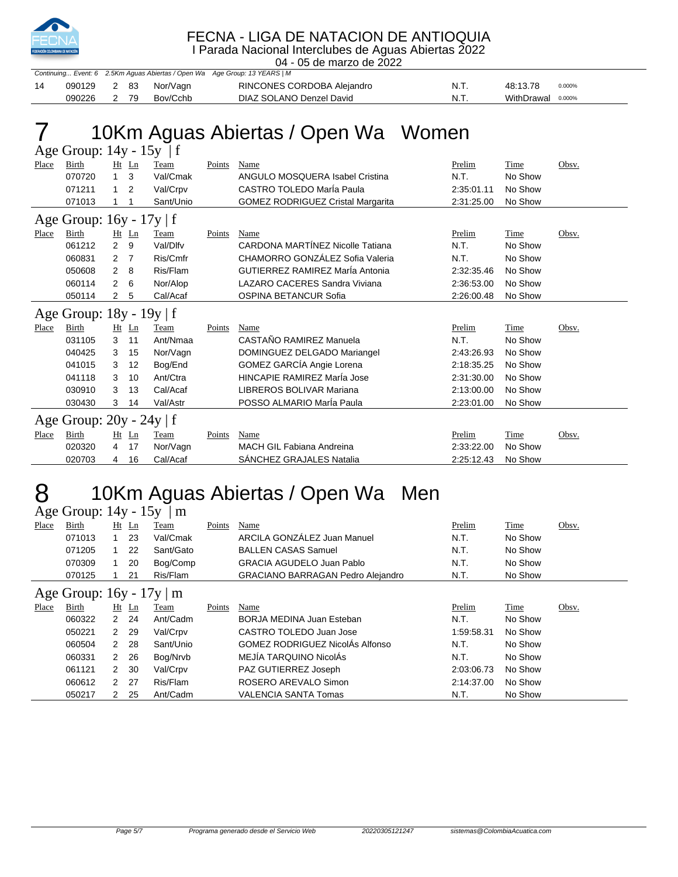

### FECNA - LIGA DE NATACION DE ANTIOQUIA

I Parada Nacional Interclubes de Aguas Abiertas 2022

|    | 04 - 05 de marzo de 2022 |      |      |          |                                                                            |      |                    |  |  |  |  |  |  |
|----|--------------------------|------|------|----------|----------------------------------------------------------------------------|------|--------------------|--|--|--|--|--|--|
|    |                          |      |      |          | Continuing Event: 6 2.5Km Aguas Abiertas / Open Wa Age Group: 13 YEARS   M |      |                    |  |  |  |  |  |  |
| 14 | 090129                   | 2 83 |      | Nor/Vaɑn | RINCONES CORDOBA Alejandro                                                 | N.T. | 48:13.78<br>0.000% |  |  |  |  |  |  |
|    | 090226                   |      | 2 79 | Bov/Cchb | DIAZ SOLANO Denzel David                                                   | N.T. | WithDrawal 0.000%  |  |  |  |  |  |  |

# 10Km Aguas Abiertas / Open Wa Women

Age Group: 14y - 15y | f

| Place        | <b>Birth</b>               | Ht             | Ln             | Team      | Points | Name                                     | Prelim     | Time    | Obsv. |
|--------------|----------------------------|----------------|----------------|-----------|--------|------------------------------------------|------------|---------|-------|
|              | 070720                     | 1.             | 3              | Val/Cmak  |        | ANGULO MOSQUERA Isabel Cristina          | N.T.       | No Show |       |
|              | 071211                     | 1              | 2              | Val/Crpv  |        | CASTRO TOLEDO María Paula                | 2:35:01.11 | No Show |       |
|              | 071013                     |                |                | Sant/Unio |        | <b>GOMEZ RODRIGUEZ Cristal Margarita</b> | 2:31:25.00 | No Show |       |
|              | Age Group: 16y - 17y   f   |                |                |           |        |                                          |            |         |       |
| <b>Place</b> | Birth                      |                | $Ht$ Ln        | Team      | Points | <b>Name</b>                              | Prelim     | Time    | Obsv. |
|              | 061212                     | $\overline{2}$ | 9              | Val/Dlfv  |        | CARDONA MARTÍNEZ Nicolle Tatiana         | N.T.       | No Show |       |
|              | 060831                     | 2              | $\overline{7}$ | Ris/Cmfr  |        | CHAMORRO GONZÁLEZ Sofia Valeria          | N.T.       | No Show |       |
|              | 050608                     | 2              | 8              | Ris/Flam  |        | GUTIERREZ RAMIREZ MarÍa Antonia          | 2:32:35.46 | No Show |       |
|              | 060114                     | 2              | 6              | Nor/Alop  |        | LAZARO CACERES Sandra Viviana            | 2:36:53.00 | No Show |       |
|              | 050114                     | 2              | 5              | Cal/Acaf  |        | <b>OSPINA BETANCUR Sofia</b>             | 2:26:00.48 | No Show |       |
|              | Age Group: 18y - 19y   f   |                |                |           |        |                                          |            |         |       |
| Place        | <b>Birth</b>               |                | $Ht$ Ln        | Team      | Points | Name                                     | Prelim     | Time    | Obsv. |
|              | 031105                     | 3              | 11             | Ant/Nmaa  |        | CASTAÑO RAMIREZ Manuela                  | N.T.       | No Show |       |
|              | 040425                     | 3              | 15             | Nor/Vagn  |        | DOMINGUEZ DELGADO Mariangel              | 2:43:26.93 | No Show |       |
|              | 041015                     | 3              | 12             | Bog/End   |        | GOMEZ GARCÍA Angie Lorena                | 2:18:35.25 | No Show |       |
|              | 041118                     | 3              | 10             | Ant/Ctra  |        | HINCAPIF RAMIRFZ MarÍa Jose              | 2:31:30.00 | No Show |       |
|              | 030910                     | 3              | 13             | Cal/Acaf  |        | LIBREROS BOLIVAR Mariana                 | 2:13:00.00 | No Show |       |
|              | 030430                     | 3              | 14             | Val/Astr  |        | POSSO ALMARIO Maria Paula                | 2:23:01.00 | No Show |       |
|              | Age Group: $20y - 24y$   f |                |                |           |        |                                          |            |         |       |
| Place        | <b>Birth</b>               |                | Ht Ln          | Team      | Points | Name                                     | Prelim     | Time    | Obsv. |
|              | 020320                     | 4              | 17             | Nor/Vagn  |        | MACH GIL Fabiana Andreina                | 2:33:22.00 | No Show |       |
|              | 020703                     | 4              | 16             | Cal/Acaf  |        | SANCHEZ GRAJALES Natalia                 | 2:25:12.43 | No Show |       |

# 8 10Km Aguas Abiertas / Open Wa Men

|       | Age Group: $14y - 15y$<br>m   |                |         |           |        |                                          |            |             |       |  |  |  |  |  |
|-------|-------------------------------|----------------|---------|-----------|--------|------------------------------------------|------------|-------------|-------|--|--|--|--|--|
| Place | Birth                         |                | $Ht$ Ln | Team      | Points | Name                                     | Prelim     | <b>Time</b> | Obsv. |  |  |  |  |  |
|       | 071013                        |                | 23      | Val/Cmak  |        | ARCILA GONZÁLEZ Juan Manuel              | N.T.       | No Show     |       |  |  |  |  |  |
|       | 071205                        |                | 22      | Sant/Gato |        | <b>BALLEN CASAS Samuel</b>               | N.T.       | No Show     |       |  |  |  |  |  |
|       | 070309                        |                | 20      | Bog/Comp  |        | <b>GRACIA AGUDELO Juan Pablo</b>         | N.T.       | No Show     |       |  |  |  |  |  |
|       | 070125                        |                | 21      | Ris/Flam  |        | <b>GRACIANO BARRAGAN Pedro Alejandro</b> | N.T.       | No Show     |       |  |  |  |  |  |
|       | Age Group: $16y - 17y \mid m$ |                |         |           |        |                                          |            |             |       |  |  |  |  |  |
| Place | Birth                         |                | $Ht$ Ln | Team      | Points | Name                                     | Prelim     | Time        | Obsv. |  |  |  |  |  |
|       | 060322                        | 2              | 24      | Ant/Cadm  |        | BORJA MEDINA Juan Esteban                | N.T.       | No Show     |       |  |  |  |  |  |
|       | 050221                        | $\overline{2}$ | 29      | Val/Crpv  |        | CASTRO TOLEDO Juan Jose                  | 1:59:58.31 | No Show     |       |  |  |  |  |  |
|       | 060504                        |                | 2 28    | Sant/Unio |        | <b>GOMEZ RODRIGUEZ NicolAs Alfonso</b>   | N.T.       | No Show     |       |  |  |  |  |  |
|       | 060331                        | 2              | 26      | Bog/Nrvb  |        | MEJÍA TARQUINO NicolAs                   | N.T.       | No Show     |       |  |  |  |  |  |
|       | 061121                        | $\mathcal{P}$  | 30      | Val/Crpv  |        | PAZ GUTIERREZ Joseph                     | 2:03:06.73 | No Show     |       |  |  |  |  |  |
|       | 060612                        | $\mathcal{P}$  | 27      | Ris/Flam  |        | ROSERO AREVALO Simon                     | 2:14:37.00 | No Show     |       |  |  |  |  |  |
|       | 050217                        | 2              | 25      | Ant/Cadm  |        | <b>VALENCIA SANTA Tomas</b>              | N.T.       | No Show     |       |  |  |  |  |  |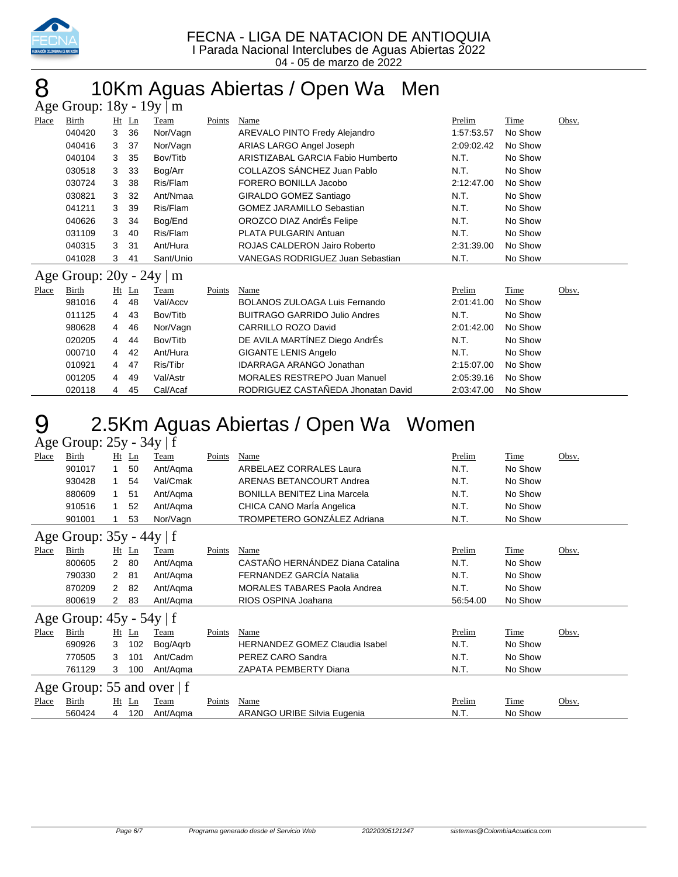

04 - 05 de marzo de 2022

# 8 10Km Aguas Abiertas / Open Wa Men

| Age Group: $18y - 19y \mid m$ |                               |                |         |           |        |                                         |            |         |       |  |  |  |  |
|-------------------------------|-------------------------------|----------------|---------|-----------|--------|-----------------------------------------|------------|---------|-------|--|--|--|--|
| Place                         | Birth                         |                | $Ht$ Ln | Team      | Points | Name                                    | Prelim     | Time    | Obsv. |  |  |  |  |
|                               | 040420                        | 3              | 36      | Nor/Vagn  |        | AREVALO PINTO Fredy Alejandro           | 1:57:53.57 | No Show |       |  |  |  |  |
|                               | 040416                        | 3              | 37      | Nor/Vagn  |        | ARIAS LARGO Angel Joseph                | 2:09:02.42 | No Show |       |  |  |  |  |
|                               | 040104                        | 3              | 35      | Bov/Titb  |        | ARISTIZABAL GARCIA Fabio Humberto       | N.T.       | No Show |       |  |  |  |  |
|                               | 030518                        | 3              | 33      | Bog/Arr   |        | COLLAZOS SÁNCHEZ Juan Pablo             | N.T.       | No Show |       |  |  |  |  |
|                               | 030724                        | 3              | 38      | Ris/Flam  |        | FORERO BONILLA Jacobo                   | 2:12:47.00 | No Show |       |  |  |  |  |
|                               | 030821                        | 3              | 32      | Ant/Nmaa  |        | GIRALDO GOMEZ Santiago                  | N.T.       | No Show |       |  |  |  |  |
|                               | 041211                        | 3              | 39      | Ris/Flam  |        | <b>GOMEZ JARAMILLO Sebastian</b>        | N.T.       | No Show |       |  |  |  |  |
|                               | 040626                        | 3              | 34      | Bog/End   |        | OROZCO DIAZ AndrÉs Felipe               | N.T.       | No Show |       |  |  |  |  |
|                               | 031109                        | 3              | 40      | Ris/Flam  |        | PLATA PULGARIN Antuan                   | N.T.       | No Show |       |  |  |  |  |
|                               | 040315                        | 3              | 31      | Ant/Hura  |        | <b>ROJAS CALDERON Jairo Roberto</b>     | 2:31:39.00 | No Show |       |  |  |  |  |
|                               | 041028                        | 3              | 41      | Sant/Unio |        | <b>VANEGAS RODRIGUEZ Juan Sebastian</b> | N.T.       | No Show |       |  |  |  |  |
|                               | Age Group: $20y - 24y \mid m$ |                |         |           |        |                                         |            |         |       |  |  |  |  |
| Place                         | Birth                         |                | $Ht$ Ln | Team      | Points | Name                                    | Prelim     | Time    | Obsv. |  |  |  |  |
|                               | 981016                        | 4              | 48      | Val/Accv  |        | <b>BOLANOS ZULOAGA Luis Fernando</b>    | 2:01:41.00 | No Show |       |  |  |  |  |
|                               | 011125                        | $\overline{4}$ | 43      | Bov/Titb  |        | <b>BUITRAGO GARRIDO Julio Andres</b>    | N.T.       | No Show |       |  |  |  |  |
|                               | 980628                        | 4              | 46      | Nor/Vagn  |        | CARRILLO ROZO David                     | 2:01:42.00 | No Show |       |  |  |  |  |
|                               | 020205                        | $\overline{4}$ | 44      | Bov/Titb  |        | DE AVILA MARTÍNEZ Diego AndrÉs          | N.T.       | No Show |       |  |  |  |  |
|                               | 000710                        | $\overline{4}$ | 42      | Ant/Hura  |        | <b>GIGANTE LENIS Angelo</b>             | N.T.       | No Show |       |  |  |  |  |
|                               | 010921                        | 4              | 47      | Ris/Tibr  |        | <b>IDARRAGA ARANGO Jonathan</b>         | 2:15:07.00 | No Show |       |  |  |  |  |
|                               | 001205                        | 4              | 49      | Val/Astr  |        | <b>MORALES RESTREPO Juan Manuel</b>     | 2:05:39.16 | No Show |       |  |  |  |  |
|                               | 020118                        | 4              | 45      | Cal/Acaf  |        | RODRIGUEZ CASTAÑEDA Jhonatan David      | 2:03:47.00 | No Show |       |  |  |  |  |

# 2.5Km Aguas Abiertas / Open Wa Women

Age Group: 25y - 34y | f

| Place                        | Birth  |                | $Ht$ Ln                            | Team     | Points | Name                                  | Prelim   | Time    | Obsv. |  |
|------------------------------|--------|----------------|------------------------------------|----------|--------|---------------------------------------|----------|---------|-------|--|
|                              | 901017 | 1              | 50                                 | Ant/Agma |        | ARBELAEZ CORRALES Laura               | N.T.     | No Show |       |  |
|                              | 930428 | 1              | 54                                 | Val/Cmak |        | <b>ARENAS BETANCOURT Andrea</b>       | N.T.     | No Show |       |  |
|                              | 880609 |                | 51                                 | Ant/Agma |        | <b>BONILLA BENITEZ Lina Marcela</b>   | N.T.     | No Show |       |  |
|                              | 910516 |                | 52                                 | Ant/Agma |        | CHICA CANO MarÍa Angelica             | N.T.     | No Show |       |  |
|                              | 901001 |                | 53                                 | Nor/Vagn |        | TROMPETERO GONZÁLEZ Adriana           | N.T.     | No Show |       |  |
| Age Group: 35y - 44y   f     |        |                |                                    |          |        |                                       |          |         |       |  |
| Place                        | Birth  | Ht             | $\mathop{\underline{\mathsf{Ln}}}$ | Team     | Points | Name                                  | Prelim   | Time    | Obsv. |  |
|                              | 800605 | 2              | 80                                 | Ant/Agma |        | CASTAÑO HERNÁNDEZ Diana Catalina      | N.T.     | No Show |       |  |
|                              | 790330 | $\overline{2}$ | 81                                 | Ant/Agma |        | FERNANDEZ GARCÍA Natalia              | N.T.     | No Show |       |  |
|                              | 870209 | $\overline{2}$ | 82                                 | Ant/Agma |        | <b>MORALES TABARES Paola Andrea</b>   | N.T.     | No Show |       |  |
|                              | 800619 | 2              | 83                                 | Ant/Aqma |        | RIOS OSPINA Joahana                   | 56:54.00 | No Show |       |  |
| Age Group: $45y - 54y$   f   |        |                |                                    |          |        |                                       |          |         |       |  |
| <b>Place</b>                 | Birth  |                | $Ht$ Ln                            | Team     | Points | Name                                  | Prelim   | Time    | Obsv. |  |
|                              | 690926 | 3              | 102                                | Bog/Agrb |        | <b>HERNANDEZ GOMEZ Claudia Isabel</b> | N.T.     | No Show |       |  |
|                              | 770505 | 3              | 101                                | Ant/Cadm |        | PEREZ CARO Sandra                     | N.T.     | No Show |       |  |
|                              | 761129 | 3              | 100                                | Ant/Agma |        | ZAPATA PEMBERTY Diana                 | N.T.     | No Show |       |  |
| Age Group: 55 and over $ f $ |        |                |                                    |          |        |                                       |          |         |       |  |
| Place                        | Birth  | Ht             | Ln                                 | Team     | Points | Name                                  | Prelim   | Time    | Obsv. |  |
|                              | 560424 | 4              | 120                                | Ant/Agma |        | <b>ARANGO URIBE Silvia Eugenia</b>    | N.T.     | No Show |       |  |